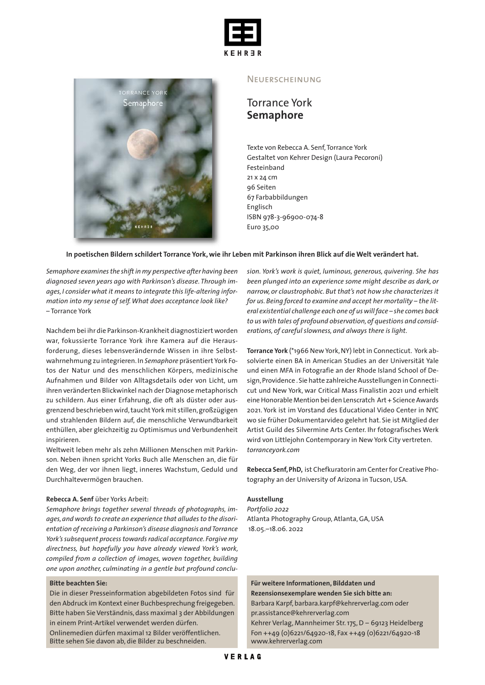



#### **NEUERSCHEINUNG**

# Torrance York **Semaphore**

Texte von Rebecca A. Senf, Torrance York Gestaltet von Kehrer Design (Laura Pecoroni) Festeinband 21 x 24 cm 96 Seiten 67 Farbabbildungen Englisch ISBN 978-3-96900-074-8 Euro 35,00

#### In poetischen Bildern schildert Torrance York, wie ihr Leben mit Parkinson ihren Blick auf die Welt verändert hat.

*Semaphore examinesthe shiftin my perspective after having been diagnosed seven years ago with Parkinson's disease. Through images, I consider what it means to integrate this life-altering information into my sense of self.What does acceptance look like?* – Torrance York

Nachdem bei ihr die Parkinson-Krankheit diagnostiziert worden war, fokussierte Torrance York ihre Kamera auf die Herausforderung, dieses lebensverändernde Wissen in ihre Selbstwahrnehmung zu integrieren.In *Semaphore* präsentiert York Fotos der Natur und des menschlichen Körpers, medizinische Aufnahmen und Bilder von Alltagsdetails oder von Licht, um ihren veränderten Blickwinkel nach der Diagnose metaphorisch zu schildern. Aus einer Erfahrung, die oft als düster oder ausgrenzend beschrieben wird,taucht York mit stillen,großzügigen und strahlenden Bildern auf, die menschliche Verwundbarkeit enthüllen, aber gleichzeitig zu Optimismus und Verbundenheit inspirieren.

Weltweit leben mehr als zehn Millionen Menschen mit Parkinson. Neben ihnen spricht Yorks Buch alle Menschen an, die für den Weg, der vor ihnen liegt, inneres Wachstum, Geduld und Durchhaltevermögen brauchen.

#### **Rebecca A. Senf** über Yorks Arbeit:

*Semaphore brings together several threads of photographs, images,and wordsto create an experience that alludesto the disorientation ofreceiving a Parkinson's disease diagnosis andTorrance York'ssubsequent processtowardsradical acceptance. Forgive my directness, but hopefully you have already viewed York's work, compiled from a collection of images, woven together, building one upon another, culminating in a gentle but profound conclu-*

#### **Bitte beachten Sie:**

Die in dieser Presseinformation abgebildeten Fotos sind für den Abdruck im Kontext einer Buchbesprechung freigegeben. Bitte haben Sie Verständnis, dass maximal 3 der Abbildungen in einem Print-Artikel verwendet werden dürfen.

Onlinemedien dürfen maximal 12 Bilder veröffentlichen. Bitte sehen Sie davon ab, die Bilder zu beschneiden.

*sion. York's work is quiet, luminous, generous, quivering. She has been plunged into an experience some might describe as dark, or narrow, or claustrophobic. But that's not how she characterizes it for us. Being forced to examine and accept her mortality – the literal existential challenge each one of us willface – she comes back to us with tales of profound observation,of questions and considerations, of careful slowness, and always there is light.*

**Torrance York** (\*1966 New York,NY) lebt in Connecticut. York absolvierte einen BA in American Studies an der Universität Yale und einen MFA in Fotografie an der Rhode Island School of Design,Providence .Sie hatte zahlreiche Ausstellungen in Connecticut und New York, war Critical Mass Finalistin 2021 und erhielt eine Honorable Mention bei den Lenscratch Art + Science Awards 2021. York ist im Vorstand des Educational Video Center in NYC wo sie früher Dokumentarvideo gelehrt hat. Sie ist Mitglied der Artist Guild des Silvermine Arts Center. Ihr fotografisches Werk wird von Littlejohn Contemporary in New York City vertreten. *torranceyork.com*

**Rebecca Senf,PhD,** ist Chefkuratorin am Centerfor Creative Photography an der University of Arizona in Tucson, USA.

#### **Ausstellung**

*Portfolio 2022* Atlanta Photography Group, Atlanta,GA,USA 18.05.–18.06. 2022

**Für weitere Informationen, Bilddaten und Rezensionsexemplare wenden Sie sich bitte an:** Barbara Karpf, barbara.karpf@kehrerverlag.com oder pr.assistance@kehrerverlag.com

Kehrer Verlag, Mannheimer Str.175,D – 69123 Heidelberg Fon ++49 (0)6221/64920-18, Fax ++49 (0)6221/64920-18 www.kehrerverlag.com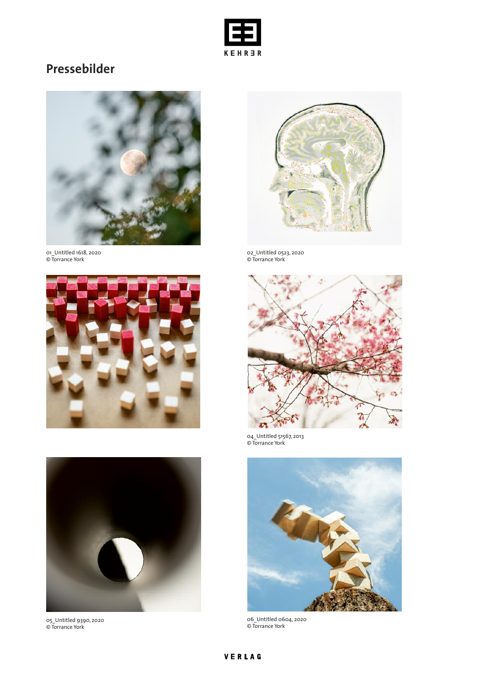

# **Pressebilder**



01\_Untitled 1618, 2020 © Torrance York





05\_Untitled 9390, 2020 © Torrance York



02\_Untitled 0523, 2020 © Torrance York



04\_Untitled 51567, 2013 © Torrance York



06\_Untitled 0604, 2020 © Torrance York

## VERLAG